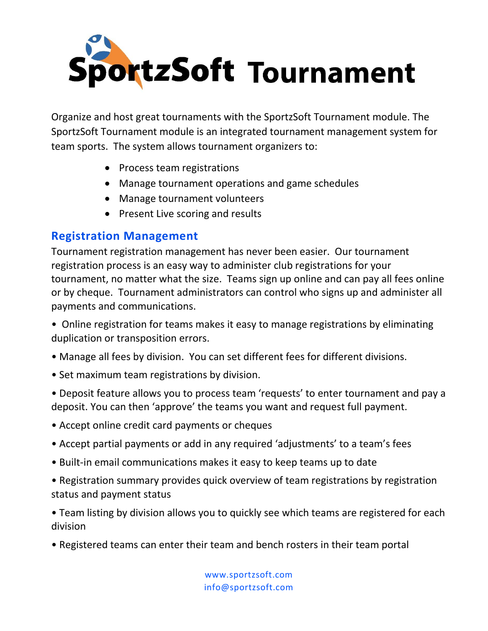

Organize and host great tournaments with the SportzSoft Tournament module. The SportzSoft Tournament module is an integrated tournament management system for team sports. The system allows tournament organizers to:

- Process team registrations
- Manage tournament operations and game schedules
- Manage tournament volunteers
- Present Live scoring and results

## **Registration Management**

Tournament registration management has never been easier. Our tournament registration process is an easy way to administer club registrations for your tournament, no matter what the size. Teams sign up online and can pay all fees online or by cheque. Tournament administrators can control who signs up and administer all payments and communications.

• Online registration for teams makes it easy to manage registrations by eliminating duplication or transposition errors.

- Manage all fees by division. You can set different fees for different divisions.
- Set maximum team registrations by division.

• Deposit feature allows you to process team 'requests' to enter tournament and pay a deposit. You can then 'approve' the teams you want and request full payment.

- Accept online credit card payments or cheques
- Accept partial payments or add in any required 'adjustments' to a team's fees
- Built-in email communications makes it easy to keep teams up to date
- Registration summary provides quick overview of team registrations by registration status and payment status

• Team listing by division allows you to quickly see which teams are registered for each division

• Registered teams can enter their team and bench rosters in their team portal

www.sportzsoft.com info@sportzsoft.com